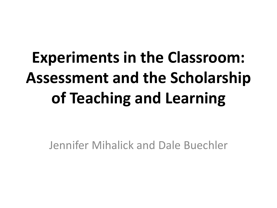## **Experiments in the Classroom: Assessment and the Scholarship of Teaching and Learning**

Jennifer Mihalick and Dale Buechler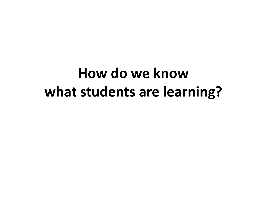#### **How do we know what students are learning?**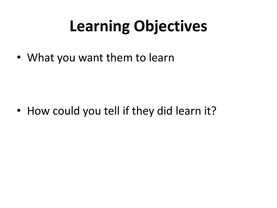## **Learning Objectives**

• What you want them to learn

• How could you tell if they did learn it?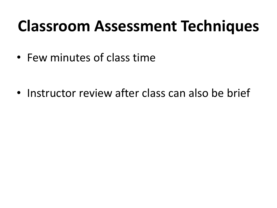#### **Classroom Assessment Techniques**

• Few minutes of class time

• Instructor review after class can also be brief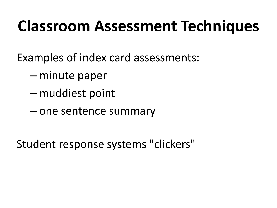### **Classroom Assessment Techniques**

Examples of index card assessments:

- –minute paper
- –muddiest point
- one sentence summary

Student response systems "clickers"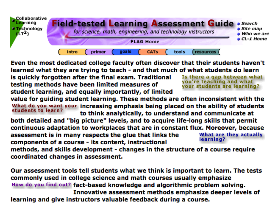

Even the most dedicated college faculty often discover that their students haven't learned what they are trying to teach - and that much of what students do learn

is quickly forgotten after the final exam. Traditional testing methods have been limited measures of student learning, and equally importantly, of limited

Is there a gap between what you're teaching and what vour students are learning?

value for quiding student learning. These methods are often inconsistent with the What do you want your increasing emphasis being placed on the ability of students students to learn? to think analytically, to understand and communicate at

both detailed and "big picture" levels, and to acquire life-long skills that permit continuous adaptation to workplaces that are in constant flux. Moreover, because assessment is in many respects the glue that links the What are they actually learning? components of a course - its content, instructional

methods, and skills development - changes in the structure of a course require coordinated changes in assessment.

Our assessment tools tell students what we think is important to learn. The tests commonly used in college science and math courses usually emphasize How do you find out? fact-based knowledge and algorithmic problem solving. Innovative assessment methods emphasize deeper levels of learning and give instructors valuable feedback during a course.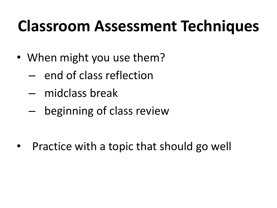### **Classroom Assessment Techniques**

- When might you use them?
	- end of class reflection
	- midclass break
	- beginning of class review

• Practice with a topic that should go well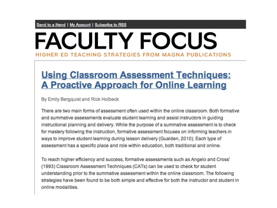#### **FACULTY FOCUS** HIGHER ED TEACHING STRATEGIES FROM MAGNA PUBLICATIONS

#### **Using Classroom Assessment Techniques: A Proactive Approach for Online Learning**

By Emily Bergquist and Rick Holbeck

There are two main forms of assessment often used within the online classroom. Both formative and summative assessments evaluate student learning and assist instructors in guiding instructional planning and delivery. While the purpose of a summative assessment is to check for mastery following the instruction, formative assessment focuses on informing teachers in ways to improve student learning during lesson delivery (Gualden, 2010). Each type of assessment has a specific place and role within education, both traditional and online.

To reach higher efficiency and success, formative assessments such as Angelo and Cross' (1993) Classroom Assessment Techniques (CATs) can be used to check for student understanding prior to the summative assessment within the online classroom. The following strategies have been found to be both simple and effective for both the instructor and student in online modalities.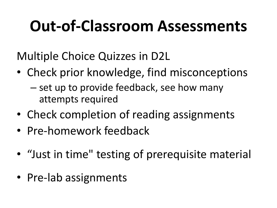## **Out-of-Classroom Assessments**

Multiple Choice Quizzes in D2L

- Check prior knowledge, find misconceptions
	- set up to provide feedback, see how many attempts required
- Check completion of reading assignments
- Pre-homework feedback
- "Just in time" testing of prerequisite material
- Pre-lab assignments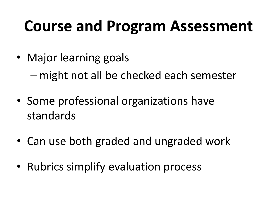#### **Course and Program Assessment**

• Major learning goals

–might not all be checked each semester

- Some professional organizations have standards
- Can use both graded and ungraded work
- Rubrics simplify evaluation process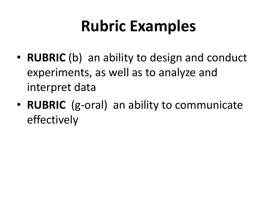## **Rubric Examples**

- **RUBRIC** (b) an ability to design and conduct experiments, as well as to analyze and interpret data
- **RUBRIC** (g-oral) an ability to communicate effectively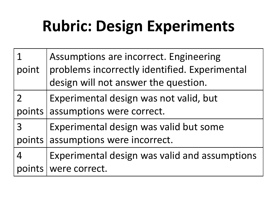## **Rubric: Design Experiments**

|        | Assumptions are incorrect. Engineering        |
|--------|-----------------------------------------------|
| point  | problems incorrectly identified. Experimental |
|        | design will not answer the question.          |
|        | Experimental design was not valid, but        |
| points | assumptions were correct.                     |
| 3      | Experimental design was valid but some        |
| points | assumptions were incorrect.                   |
| 4      | Experimental design was valid and assumptions |
|        | were correct.                                 |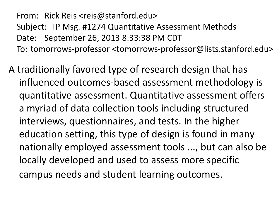From: Rick Reis <reis@stanford.edu> Subject: TP Msg. #1274 Quantitative Assessment Methods Date: September 26, 2013 8:33:38 PM CDT To: tomorrows-professor <tomorrows-professor@lists.stanford.edu>

A traditionally favored type of research design that has influenced outcomes-based assessment methodology is quantitative assessment. Quantitative assessment offers a myriad of data collection tools including structured interviews, questionnaires, and tests. In the higher education setting, this type of design is found in many nationally employed assessment tools ..., but can also be locally developed and used to assess more specific campus needs and student learning outcomes.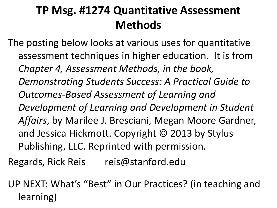#### **TP Msg. #1274 Quantitative Assessment Methods**

The posting below looks at various uses for quantitative assessment techniques in higher education. It is from *Chapter 4, Assessment Methods, in the book, Demonstrating Students Success: A Practical Guide to Outcomes-Based Assessment of Learning and Development of Learning and Development in Student Affairs*, by Marilee J. Bresciani, Megan Moore Gardner, and Jessica Hickmott. Copyright © 2013 by Stylus Publishing, LLC. Reprinted with permission.

Regards, Rick Reis reis@stanford.edu

UP NEXT: What's "Best" in Our Practices? (in teaching and learning)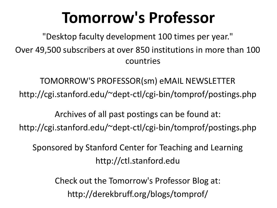### **Tomorrow's Professor**

"Desktop faculty development 100 times per year." Over 49,500 subscribers at over 850 institutions in more than 100 countries

TOMORROW'S PROFESSOR(sm) eMAIL NEWSLETTER http://cgi.stanford.edu/~dept-ctl/cgi-bin/tomprof/postings.php

Archives of all past postings can be found at: http://cgi.stanford.edu/~dept-ctl/cgi-bin/tomprof/postings.php

Sponsored by Stanford Center for Teaching and Learning http://ctl.stanford.edu

> Check out the Tomorrow's Professor Blog at: http://derekbruff.org/blogs/tomprof/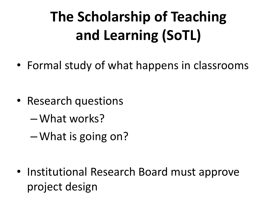## **The Scholarship of Teaching and Learning (SoTL)**

• Formal study of what happens in classrooms

- Research questions
	- –What works?
	- –What is going on?

• Institutional Research Board must approve project design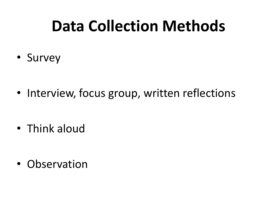### **Data Collection Methods**

• Survey

• Interview, focus group, written reflections

• Think aloud

• Observation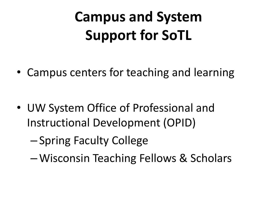### **Campus and System Support for SoTL**

• Campus centers for teaching and learning

- UW System Office of Professional and Instructional Development (OPID)
	- Spring Faculty College
	- –Wisconsin Teaching Fellows & Scholars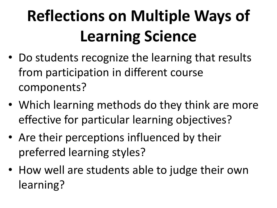# **Reflections on Multiple Ways of Learning Science**

- Do students recognize the learning that results from participation in different course components?
- Which learning methods do they think are more effective for particular learning objectives?
- Are their perceptions influenced by their preferred learning styles?
- How well are students able to judge their own learning?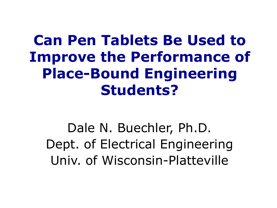#### **Can Pen Tablets Be Used to Improve the Performance of Place-Bound Engineering Students?**

Dale N. Buechler, Ph.D. Dept. of Electrical Engineering Univ. of Wisconsin-Platteville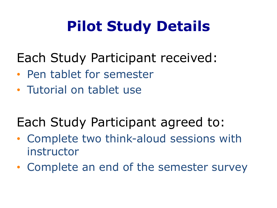#### **Pilot Study Details**

#### Each Study Participant received:

- Pen tablet for semester
- Tutorial on tablet use

#### Each Study Participant agreed to:

- Complete two think-aloud sessions with instructor
- Complete an end of the semester survey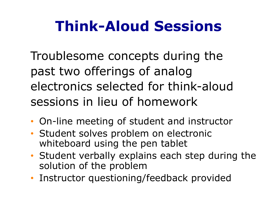#### **Think-Aloud Sessions**

Troublesome concepts during the past two offerings of analog electronics selected for think-aloud sessions in lieu of homework

- On-line meeting of student and instructor
- Student solves problem on electronic whiteboard using the pen tablet
- Student verbally explains each step during the solution of the problem
- Instructor questioning/feedback provided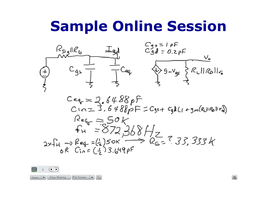#### **Sample Online Session**



 $C_{eq} = 2.6488pF$  $C$  $n = 3.648$   $pF = C_{95} + C_{9}l(1 + g_{m}(R_{L}||R_{B}||r_{q}))$  $R_{eq} = 50k$ <br> $F_H = 872,368H_Z$ <br> $2\tan \theta_{eq} = (\frac{1}{2})50k \rightarrow R_{eq} = 7.33,333k$ 



器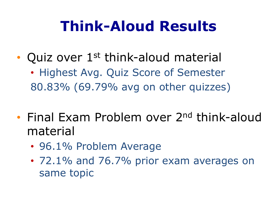#### **Think-Aloud Results**

- Quiz over 1<sup>st</sup> think-aloud material
	- Highest Avg. Quiz Score of Semester 80.83% (69.79% avg on other quizzes)
- Final Exam Problem over 2<sup>nd</sup> think-aloud material
	- 96.1% Problem Average
	- 72.1% and 76.7% prior exam averages on same topic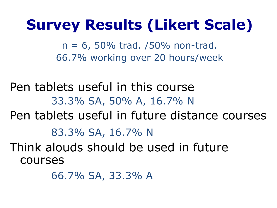#### **Survey Results (Likert Scale)**

 $n = 6$ , 50% trad. /50% non-trad. 66.7% working over 20 hours/week

Pen tablets useful in this course 33.3% SA, 50% A, 16.7% N Pen tablets useful in future distance courses 83.3% SA, 16.7% N Think alouds should be used in future courses

66.7% SA, 33.3% A